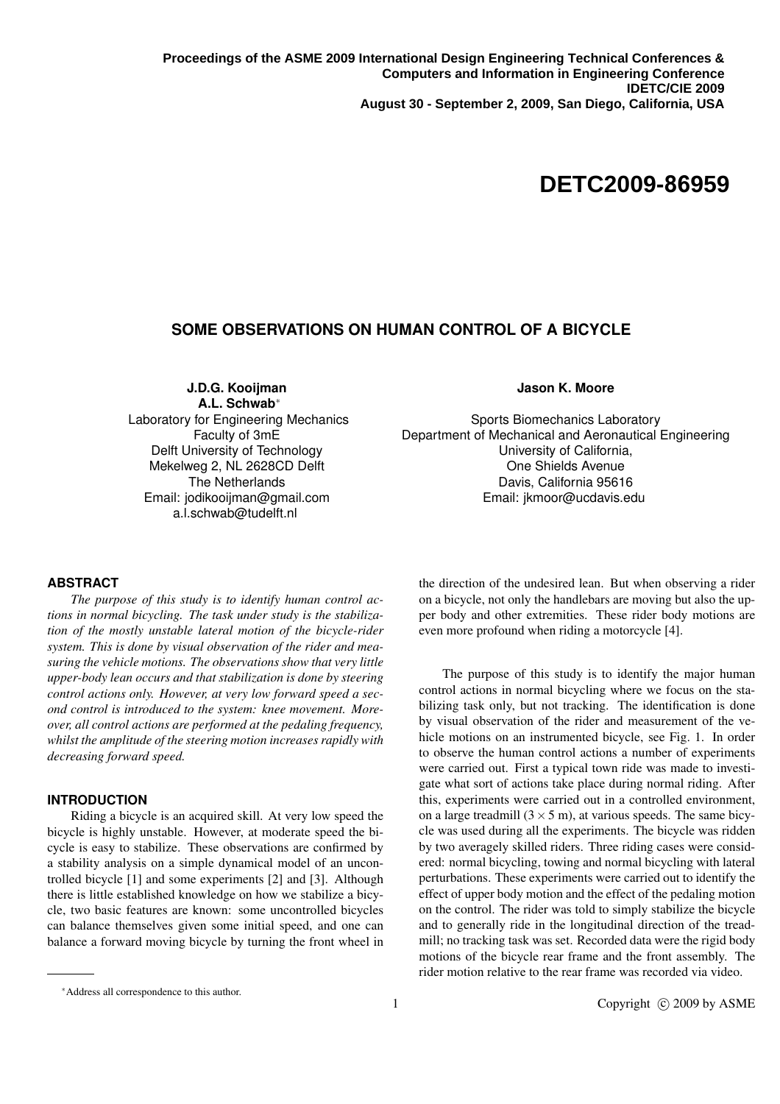# **IDETC/CIE 2009 August 30-September 2, 2009, San Diego, USA DETC2009-86959**

## **SOME OBSERVATIONS ON HUMAN CONTROL OF A BICYCLE**

**J.D.G. Kooijman A.L. Schwab**<sup>∗</sup>

Laboratory for Engineering Mechanics Faculty of 3mE Delft University of Technology Mekelweg 2, NL 2628CD Delft The Netherlands Email: jodikooijman@gmail.com a.l.schwab@tudelft.nl

## **Jason K. Moore**

Sports Biomechanics Laboratory Department of Mechanical and Aeronautical Engineering University of California, One Shields Avenue Davis, California 95616 Email: jkmoor@ucdavis.edu

### **ABSTRACT**

*The purpose of this study is to identify human control actions in normal bicycling. The task under study is the stabilization of the mostly unstable lateral motion of the bicycle-rider system. This is done by visual observation of the rider and measuring the vehicle motions. The observations show that very little upper-body lean occurs and that stabilization is done by steering control actions only. However, at very low forward speed a second control is introduced to the system: knee movement. Moreover, all control actions are performed at the pedaling frequency, whilst the amplitude of the steering motion increases rapidly with decreasing forward speed.*

#### **INTRODUCTION**

Riding a bicycle is an acquired skill. At very low speed the bicycle is highly unstable. However, at moderate speed the bicycle is easy to stabilize. These observations are confirmed by a stability analysis on a simple dynamical model of an uncontrolled bicycle [1] and some experiments [2] and [3]. Although there is little established knowledge on how we stabilize a bicycle, two basic features are known: some uncontrolled bicycles can balance themselves given some initial speed, and one can balance a forward moving bicycle by turning the front wheel in the direction of the undesired lean. But when observing a rider on a bicycle, not only the handlebars are moving but also the upper body and other extremities. These rider body motions are even more profound when riding a motorcycle [4].

The purpose of this study is to identify the major human control actions in normal bicycling where we focus on the stabilizing task only, but not tracking. The identification is done by visual observation of the rider and measurement of the vehicle motions on an instrumented bicycle, see Fig. 1. In order to observe the human control actions a number of experiments were carried out. First a typical town ride was made to investigate what sort of actions take place during normal riding. After this, experiments were carried out in a controlled environment, on a large treadmill  $(3 \times 5 \text{ m})$ , at various speeds. The same bicycle was used during all the experiments. The bicycle was ridden by two averagely skilled riders. Three riding cases were considered: normal bicycling, towing and normal bicycling with lateral perturbations. These experiments were carried out to identify the effect of upper body motion and the effect of the pedaling motion on the control. The rider was told to simply stabilize the bicycle and to generally ride in the longitudinal direction of the treadmill; no tracking task was set. Recorded data were the rigid body motions of the bicycle rear frame and the front assembly. The rider motion relative to the rear frame was recorded via video.

<sup>∗</sup>Address all correspondence to this author.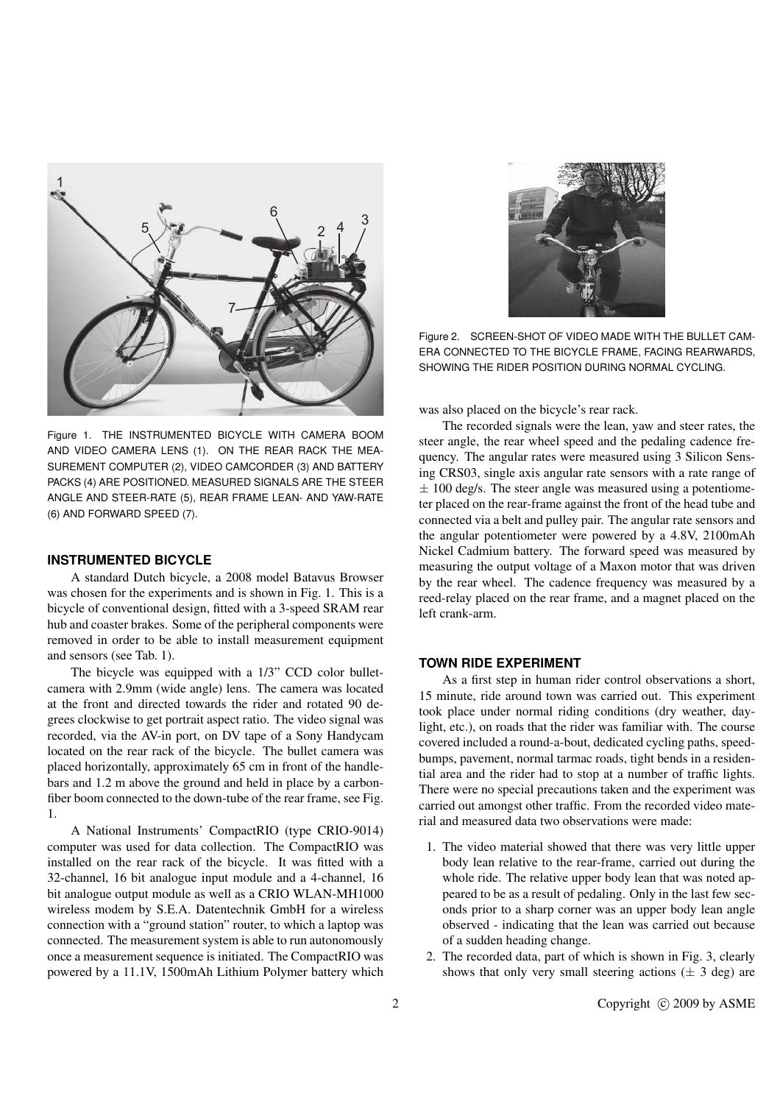

Figure 1. THE INSTRUMENTED BICYCLE WITH CAMERA BOOM AND VIDEO CAMERA LENS (1). ON THE REAR RACK THE MEA-SUREMENT COMPUTER (2), VIDEO CAMCORDER (3) AND BATTERY PACKS (4) ARE POSITIONED. MEASURED SIGNALS ARE THE STEER ANGLE AND STEER-RATE (5), REAR FRAME LEAN- AND YAW-RATE (6) AND FORWARD SPEED (7).

#### **INSTRUMENTED BICYCLE**

A standard Dutch bicycle, a 2008 model Batavus Browser was chosen for the experiments and is shown in Fig. 1. This is a bicycle of conventional design, fitted with a 3-speed SRAM rear hub and coaster brakes. Some of the peripheral components were removed in order to be able to install measurement equipment and sensors (see Tab. 1).

The bicycle was equipped with a 1/3" CCD color bulletcamera with 2.9mm (wide angle) lens. The camera was located at the front and directed towards the rider and rotated 90 degrees clockwise to get portrait aspect ratio. The video signal was recorded, via the AV-in port, on DV tape of a Sony Handycam located on the rear rack of the bicycle. The bullet camera was placed horizontally, approximately 65 cm in front of the handlebars and 1.2 m above the ground and held in place by a carbonfiber boom connected to the down-tube of the rear frame, see Fig. 1.

A National Instruments' CompactRIO (type CRIO-9014) computer was used for data collection. The CompactRIO was installed on the rear rack of the bicycle. It was fitted with a 32-channel, 16 bit analogue input module and a 4-channel, 16 bit analogue output module as well as a CRIO WLAN-MH1000 wireless modem by S.E.A. Datentechnik GmbH for a wireless connection with a "ground station" router, to which a laptop was connected. The measurement system is able to run autonomously once a measurement sequence is initiated. The CompactRIO was powered by a 11.1V, 1500mAh Lithium Polymer battery which



Figure 2. SCREEN-SHOT OF VIDEO MADE WITH THE BULLET CAM-ERA CONNECTED TO THE BICYCLE FRAME, FACING REARWARDS, SHOWING THE RIDER POSITION DURING NORMAL CYCLING.

was also placed on the bicycle's rear rack.

The recorded signals were the lean, yaw and steer rates, the steer angle, the rear wheel speed and the pedaling cadence frequency. The angular rates were measured using 3 Silicon Sensing CRS03, single axis angular rate sensors with a rate range of  $\pm$  100 deg/s. The steer angle was measured using a potentiometer placed on the rear-frame against the front of the head tube and connected via a belt and pulley pair. The angular rate sensors and the angular potentiometer were powered by a 4.8V, 2100mAh Nickel Cadmium battery. The forward speed was measured by measuring the output voltage of a Maxon motor that was driven by the rear wheel. The cadence frequency was measured by a reed-relay placed on the rear frame, and a magnet placed on the left crank-arm.

#### **TOWN RIDE EXPERIMENT**

As a first step in human rider control observations a short, 15 minute, ride around town was carried out. This experiment took place under normal riding conditions (dry weather, daylight, etc.), on roads that the rider was familiar with. The course covered included a round-a-bout, dedicated cycling paths, speedbumps, pavement, normal tarmac roads, tight bends in a residential area and the rider had to stop at a number of traffic lights. There were no special precautions taken and the experiment was carried out amongst other traffic. From the recorded video material and measured data two observations were made:

- 1. The video material showed that there was very little upper body lean relative to the rear-frame, carried out during the whole ride. The relative upper body lean that was noted appeared to be as a result of pedaling. Only in the last few seconds prior to a sharp corner was an upper body lean angle observed - indicating that the lean was carried out because of a sudden heading change.
- 2. The recorded data, part of which is shown in Fig. 3, clearly shows that only very small steering actions  $(\pm 3 \text{ deg})$  are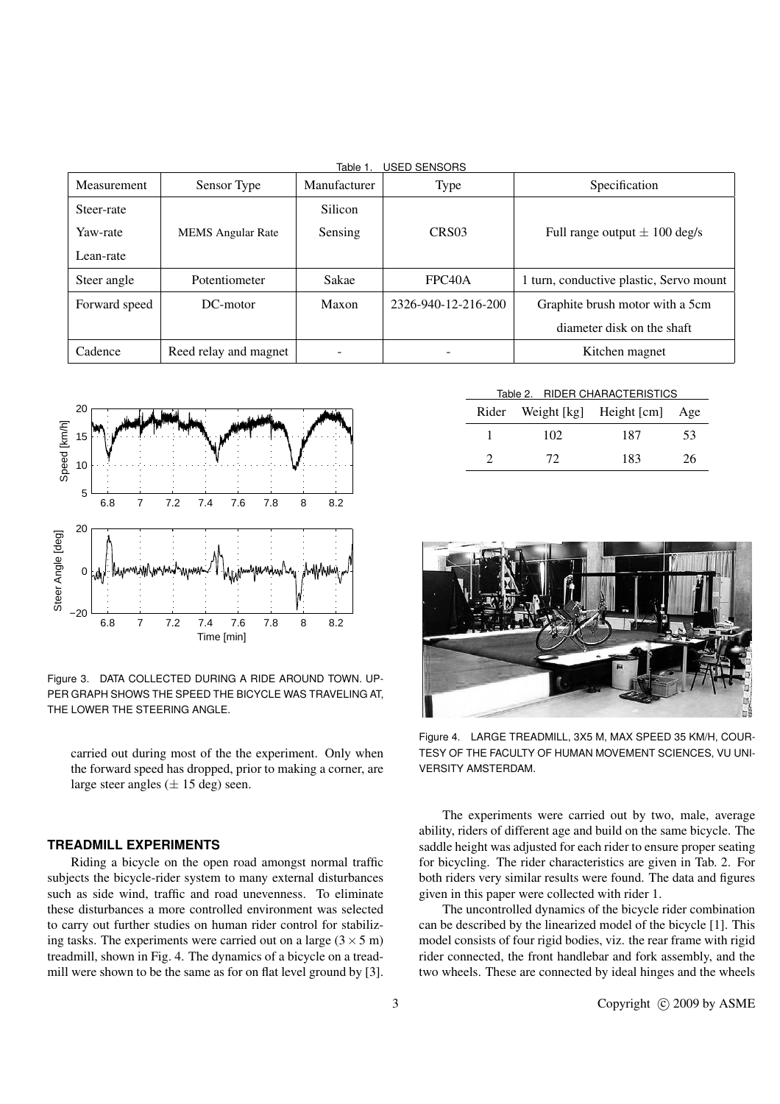| <b>USED SENSORS</b><br>Table 1 |                          |              |                     |                                         |  |  |  |
|--------------------------------|--------------------------|--------------|---------------------|-----------------------------------------|--|--|--|
| <b>Measurement</b>             | Sensor Type              | Manufacturer | Type                | Specification                           |  |  |  |
| Steer-rate                     |                          | Silicon      |                     |                                         |  |  |  |
| Yaw-rate                       | <b>MEMS</b> Angular Rate | Sensing      | CRS <sub>03</sub>   | Full range output $\pm$ 100 deg/s       |  |  |  |
| Lean-rate                      |                          |              |                     |                                         |  |  |  |
| Steer angle                    | Potentiometer            | Sakae        | FPC <sub>40</sub> A | 1 turn, conductive plastic, Servo mount |  |  |  |
| Forward speed                  | $DC$ -motor              | Maxon        | 2326-940-12-216-200 | Graphite brush motor with a 5cm         |  |  |  |
|                                |                          |              |                     | diameter disk on the shaft              |  |  |  |
| Cadence                        | Reed relay and magnet    |              |                     | Kitchen magnet                          |  |  |  |



Figure 3. DATA COLLECTED DURING A RIDE AROUND TOWN. UP-PER GRAPH SHOWS THE SPEED THE BICYCLE WAS TRAVELING AT, THE LOWER THE STEERING ANGLE.

carried out during most of the the experiment. Only when the forward speed has dropped, prior to making a corner, are large steer angles ( $\pm$  15 deg) seen.

#### **TREADMILL EXPERIMENTS**

Riding a bicycle on the open road amongst normal traffic subjects the bicycle-rider system to many external disturbances such as side wind, traffic and road unevenness. To eliminate these disturbances a more controlled environment was selected to carry out further studies on human rider control for stabilizing tasks. The experiments were carried out on a large  $(3 \times 5 \text{ m})$ treadmill, shown in Fig. 4. The dynamics of a bicycle on a treadmill were shown to be the same as for on flat level ground by [3].

| Table 2. RIDER CHARACTERISTICS |     |                                   |    |  |  |
|--------------------------------|-----|-----------------------------------|----|--|--|
|                                |     | Rider Weight [kg] Height [cm] Age |    |  |  |
|                                | 102 | 187                               | 53 |  |  |
|                                | 72  | 183                               | 26 |  |  |



Figure 4. LARGE TREADMILL, 3X5 M, MAX SPEED 35 KM/H, COUR-TESY OF THE FACULTY OF HUMAN MOVEMENT SCIENCES, VU UNI-VERSITY AMSTERDAM.

The experiments were carried out by two, male, average ability, riders of different age and build on the same bicycle. The saddle height was adjusted for each rider to ensure proper seating for bicycling. The rider characteristics are given in Tab. 2. For both riders very similar results were found. The data and figures given in this paper were collected with rider 1.

The uncontrolled dynamics of the bicycle rider combination can be described by the linearized model of the bicycle [1]. This model consists of four rigid bodies, viz. the rear frame with rigid rider connected, the front handlebar and fork assembly, and the two wheels. These are connected by ideal hinges and the wheels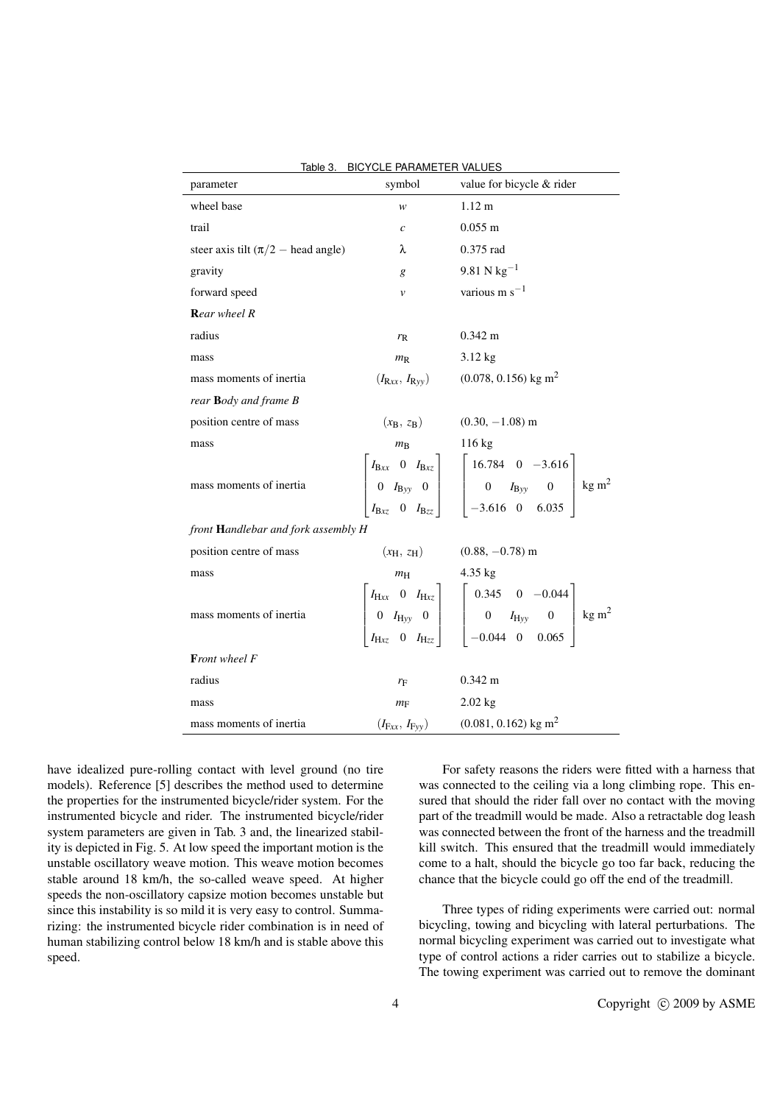| parameter                                     | symbol              | value for bicycle & rider                                                                                                                                                                                                                            |  |  |  |  |
|-----------------------------------------------|---------------------|------------------------------------------------------------------------------------------------------------------------------------------------------------------------------------------------------------------------------------------------------|--|--|--|--|
| wheel base                                    | w                   | $1.12 \text{ m}$                                                                                                                                                                                                                                     |  |  |  |  |
| trail                                         | $\mathcal{C}$       | $0.055 \text{ m}$                                                                                                                                                                                                                                    |  |  |  |  |
| steer axis tilt $(\pi/2 - \text{head angle})$ | λ                   | 0.375 rad                                                                                                                                                                                                                                            |  |  |  |  |
| gravity                                       | g                   | 9.81 N $\text{kg}^{-1}$                                                                                                                                                                                                                              |  |  |  |  |
| forward speed                                 | $\mathcal V$        | various $m s^{-1}$                                                                                                                                                                                                                                   |  |  |  |  |
| Rear wheel R                                  |                     |                                                                                                                                                                                                                                                      |  |  |  |  |
| radius                                        | $r_{R}$             | $0.342 \text{ m}$                                                                                                                                                                                                                                    |  |  |  |  |
| mass                                          | $m_{\rm R}$ 3.12 kg |                                                                                                                                                                                                                                                      |  |  |  |  |
| mass moments of inertia                       |                     | $(I_{\rm Rx}, I_{\rm Ryy})$ (0.078, 0.156) kg m <sup>2</sup>                                                                                                                                                                                         |  |  |  |  |
| rear Body and frame B                         |                     |                                                                                                                                                                                                                                                      |  |  |  |  |
| position centre of mass                       |                     | $(x_B, z_B)$ (0.30, -1.08) m                                                                                                                                                                                                                         |  |  |  |  |
| mass                                          | $m_{\rm B}$         | $116 \text{ kg}$                                                                                                                                                                                                                                     |  |  |  |  |
| mass moments of inertia                       |                     | $\begin{bmatrix} I_{\text{Bxx}} & 0 & I_{\text{Bxz}} \\ 0 & I_{\text{Byy}} & 0 \\ I_{\text{Bxz}} & 0 & I_{\text{Bzz}} \end{bmatrix} \begin{bmatrix} 16.784 & 0 & -3.616 \\ 0 & I_{\text{Byy}} & 0 \\ -3.616 & 0 & 6.035 \end{bmatrix} \text{kg m}^2$ |  |  |  |  |
| front Handlebar and fork assembly H           |                     |                                                                                                                                                                                                                                                      |  |  |  |  |
| position centre of mass                       |                     | $(x_{\rm H}, z_{\rm H})$ (0.88, -0.78) m                                                                                                                                                                                                             |  |  |  |  |
| mass                                          | $m_{\rm H}$         | $4.35$ kg                                                                                                                                                                                                                                            |  |  |  |  |
| mass moments of inertia                       |                     | $\begin{bmatrix} I_{\rm Hxx} & 0 & I_{\rm Hxz} \\ 0 & I_{\rm Hyy} & 0 \\ I_{\rm Hxz} & 0 & I_{\rm Hzz} \end{bmatrix} \quad \begin{bmatrix} 0.345 & 0 & -0.044 \\ 0 & I_{\rm Hyy} & 0 \\ -0.044 & 0 & 0.065 \end{bmatrix} \text{kg m}^2$              |  |  |  |  |
| Front wheel F                                 |                     |                                                                                                                                                                                                                                                      |  |  |  |  |
| radius                                        | $r_{\rm F}$         | $0.342 \text{ m}$                                                                                                                                                                                                                                    |  |  |  |  |
| mass                                          | $m_{\rm F}$         | $2.02$ kg                                                                                                                                                                                                                                            |  |  |  |  |
| mass moments of inertia                       |                     | $(I_{\text{Fxx}}, I_{\text{Fyy}})$ (0.081, 0.162) kg m <sup>2</sup>                                                                                                                                                                                  |  |  |  |  |

Table 3. BICYCLE PARAMETER VALUES

have idealized pure-rolling contact with level ground (no tire models). Reference [5] describes the method used to determine the properties for the instrumented bicycle/rider system. For the instrumented bicycle and rider. The instrumented bicycle/rider system parameters are given in Tab. 3 and, the linearized stability is depicted in Fig. 5. At low speed the important motion is the unstable oscillatory weave motion. This weave motion becomes stable around 18 km/h, the so-called weave speed. At higher speeds the non-oscillatory capsize motion becomes unstable but since this instability is so mild it is very easy to control. Summarizing: the instrumented bicycle rider combination is in need of human stabilizing control below 18 km/h and is stable above this speed.

For safety reasons the riders were fitted with a harness that was connected to the ceiling via a long climbing rope. This ensured that should the rider fall over no contact with the moving part of the treadmill would be made. Also a retractable dog leash was connected between the front of the harness and the treadmill kill switch. This ensured that the treadmill would immediately come to a halt, should the bicycle go too far back, reducing the chance that the bicycle could go off the end of the treadmill.

Three types of riding experiments were carried out: normal bicycling, towing and bicycling with lateral perturbations. The normal bicycling experiment was carried out to investigate what type of control actions a rider carries out to stabilize a bicycle. The towing experiment was carried out to remove the dominant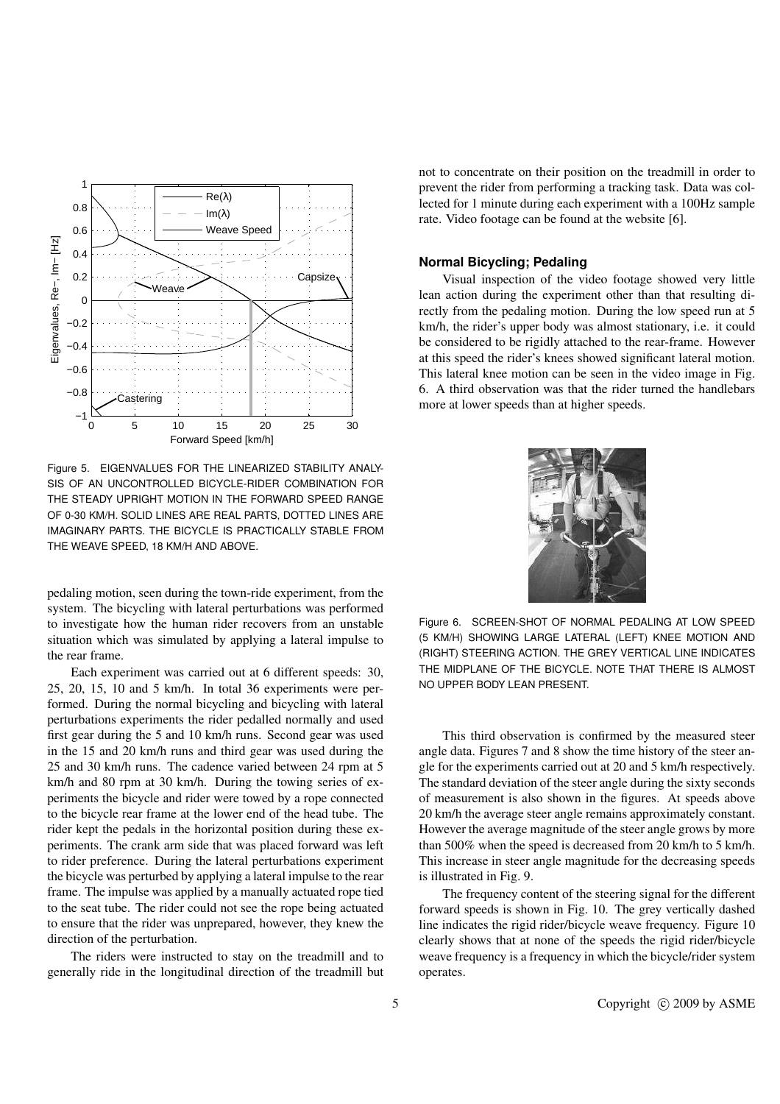

Figure 5. EIGENVALUES FOR THE LINEARIZED STABILITY ANALY-SIS OF AN UNCONTROLLED BICYCLE-RIDER COMBINATION FOR THE STEADY UPRIGHT MOTION IN THE FORWARD SPEED RANGE OF 0-30 KM/H. SOLID LINES ARE REAL PARTS, DOTTED LINES ARE IMAGINARY PARTS. THE BICYCLE IS PRACTICALLY STABLE FROM THE WEAVE SPEED, 18 KM/H AND ABOVE.

pedaling motion, seen during the town-ride experiment, from the system. The bicycling with lateral perturbations was performed to investigate how the human rider recovers from an unstable situation which was simulated by applying a lateral impulse to the rear frame.

Each experiment was carried out at 6 different speeds: 30, 25, 20, 15, 10 and 5 km/h. In total 36 experiments were performed. During the normal bicycling and bicycling with lateral perturbations experiments the rider pedalled normally and used first gear during the 5 and 10 km/h runs. Second gear was used in the 15 and 20 km/h runs and third gear was used during the 25 and 30 km/h runs. The cadence varied between 24 rpm at 5 km/h and 80 rpm at 30 km/h. During the towing series of experiments the bicycle and rider were towed by a rope connected to the bicycle rear frame at the lower end of the head tube. The rider kept the pedals in the horizontal position during these experiments. The crank arm side that was placed forward was left to rider preference. During the lateral perturbations experiment the bicycle was perturbed by applying a lateral impulse to the rear frame. The impulse was applied by a manually actuated rope tied to the seat tube. The rider could not see the rope being actuated to ensure that the rider was unprepared, however, they knew the direction of the perturbation.

The riders were instructed to stay on the treadmill and to generally ride in the longitudinal direction of the treadmill but not to concentrate on their position on the treadmill in order to prevent the rider from performing a tracking task. Data was collected for 1 minute during each experiment with a 100Hz sample rate. Video footage can be found at the website [6].

#### **Normal Bicycling; Pedaling**

Visual inspection of the video footage showed very little lean action during the experiment other than that resulting directly from the pedaling motion. During the low speed run at 5 km/h, the rider's upper body was almost stationary, i.e. it could be considered to be rigidly attached to the rear-frame. However at this speed the rider's knees showed significant lateral motion. This lateral knee motion can be seen in the video image in Fig. 6. A third observation was that the rider turned the handlebars more at lower speeds than at higher speeds.



Figure 6. SCREEN-SHOT OF NORMAL PEDALING AT LOW SPEED (5 KM/H) SHOWING LARGE LATERAL (LEFT) KNEE MOTION AND (RIGHT) STEERING ACTION. THE GREY VERTICAL LINE INDICATES THE MIDPLANE OF THE BICYCLE. NOTE THAT THERE IS ALMOST NO UPPER BODY LEAN PRESENT.

This third observation is confirmed by the measured steer angle data. Figures 7 and 8 show the time history of the steer angle for the experiments carried out at 20 and 5 km/h respectively. The standard deviation of the steer angle during the sixty seconds of measurement is also shown in the figures. At speeds above 20 km/h the average steer angle remains approximately constant. However the average magnitude of the steer angle grows by more than 500% when the speed is decreased from 20 km/h to 5 km/h. This increase in steer angle magnitude for the decreasing speeds is illustrated in Fig. 9.

The frequency content of the steering signal for the different forward speeds is shown in Fig. 10. The grey vertically dashed line indicates the rigid rider/bicycle weave frequency. Figure 10 clearly shows that at none of the speeds the rigid rider/bicycle weave frequency is a frequency in which the bicycle/rider system operates.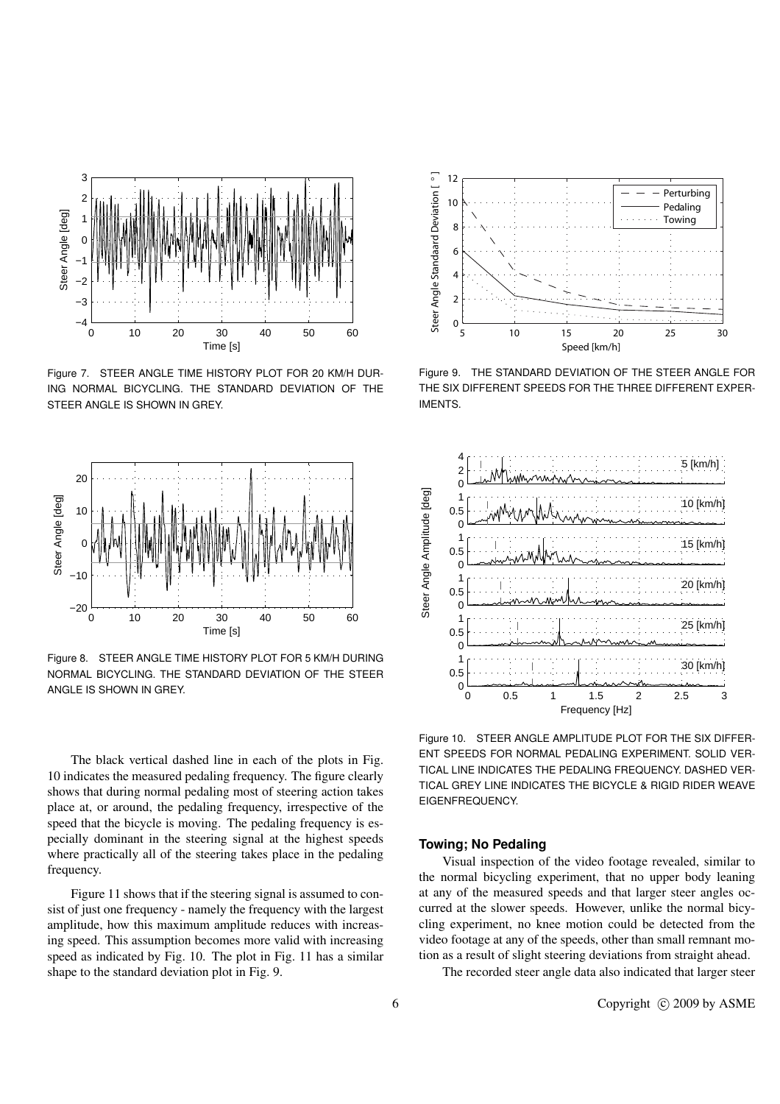

Figure 7. STEER ANGLE TIME HISTORY PLOT FOR 20 KM/H DUR-ING NORMAL BICYCLING. THE STANDARD DEVIATION OF THE STEER ANGLE IS SHOWN IN GREY.



Figure 8. STEER ANGLE TIME HISTORY PLOT FOR 5 KM/H DURING NORMAL BICYCLING. THE STANDARD DEVIATION OF THE STEER ANGLE IS SHOWN IN GREY.

The black vertical dashed line in each of the plots in Fig. 10 indicates the measured pedaling frequency. The figure clearly shows that during normal pedaling most of steering action takes place at, or around, the pedaling frequency, irrespective of the speed that the bicycle is moving. The pedaling frequency is especially dominant in the steering signal at the highest speeds where practically all of the steering takes place in the pedaling frequency.

Figure 11 shows that if the steering signal is assumed to consist of just one frequency - namely the frequency with the largest amplitude, how this maximum amplitude reduces with increasing speed. This assumption becomes more valid with increasing speed as indicated by Fig. 10. The plot in Fig. 11 has a similar shape to the standard deviation plot in Fig. 9.



Figure 9. THE STANDARD DEVIATION OF THE STEER ANGLE FOR THE SIX DIFFERENT SPEEDS FOR THE THREE DIFFERENT EXPER-IMENTS.



Figure 10. STEER ANGLE AMPLITUDE PLOT FOR THE SIX DIFFER-ENT SPEEDS FOR NORMAL PEDALING EXPERIMENT. SOLID VER-TICAL LINE INDICATES THE PEDALING FREQUENCY. DASHED VER-TICAL GREY LINE INDICATES THE BICYCLE & RIGID RIDER WEAVE EIGENFREQUENCY.

## **Towing; No Pedaling**

Visual inspection of the video footage revealed, similar to the normal bicycling experiment, that no upper body leaning at any of the measured speeds and that larger steer angles occurred at the slower speeds. However, unlike the normal bicycling experiment, no knee motion could be detected from the video footage at any of the speeds, other than small remnant motion as a result of slight steering deviations from straight ahead.

The recorded steer angle data also indicated that larger steer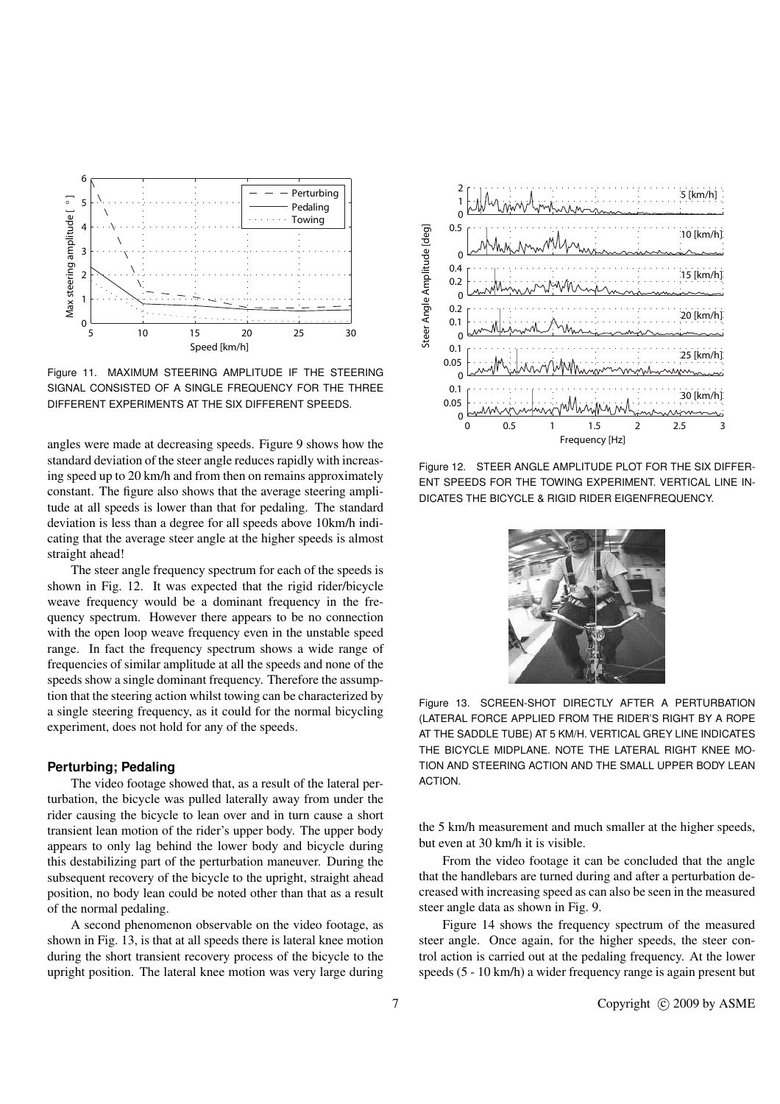

Figure 11. MAXIMUM STEERING AMPLITUDE IF THE STEERING SIGNAL CONSISTED OF A SINGLE FREQUENCY FOR THE THREE DIFFERENT EXPERIMENTS AT THE SIX DIFFERENT SPEEDS.

angles were made at decreasing speeds. Figure 9 shows how the standard deviation of the steer angle reduces rapidly with increasing speed up to 20 km/h and from then on remains approximately constant. The figure also shows that the average steering amplitude at all speeds is lower than that for pedaling. The standard deviation is less than a degree for all speeds above 10km/h indicating that the average steer angle at the higher speeds is almost straight ahead!

The steer angle frequency spectrum for each of the speeds is shown in Fig. 12. It was expected that the rigid rider/bicycle weave frequency would be a dominant frequency in the frequency spectrum. However there appears to be no connection with the open loop weave frequency even in the unstable speed range. In fact the frequency spectrum shows a wide range of frequencies of similar amplitude at all the speeds and none of the speeds show a single dominant frequency. Therefore the assumption that the steering action whilst towing can be characterized by a single steering frequency, as it could for the normal bicycling experiment, does not hold for any of the speeds.

#### **Perturbing; Pedaling**

The video footage showed that, as a result of the lateral perturbation, the bicycle was pulled laterally away from under the rider causing the bicycle to lean over and in turn cause a short transient lean motion of the rider's upper body. The upper body appears to only lag behind the lower body and bicycle during this destabilizing part of the perturbation maneuver. During the subsequent recovery of the bicycle to the upright, straight ahead position, no body lean could be noted other than that as a result of the normal pedaling.

A second phenomenon observable on the video footage, as shown in Fig. 13, is that at all speeds there is lateral knee motion during the short transient recovery process of the bicycle to the upright position. The lateral knee motion was very large during



Figure 12. STEER ANGLE AMPLITUDE PLOT FOR THE SIX DIFFER-ENT SPEEDS FOR THE TOWING EXPERIMENT. VERTICAL LINE IN-DICATES THE BICYCLE & RIGID RIDER EIGENFREQUENCY.



Figure 13. SCREEN-SHOT DIRECTLY AFTER A PERTURBATION (LATERAL FORCE APPLIED FROM THE RIDER'S RIGHT BY A ROPE AT THE SADDLE TUBE) AT 5 KM/H. VERTICAL GREY LINE INDICATES THE BICYCLE MIDPLANE. NOTE THE LATERAL RIGHT KNEE MO-TION AND STEERING ACTION AND THE SMALL UPPER BODY LEAN ACTION.

the 5 km/h measurement and much smaller at the higher speeds, but even at 30 km/h it is visible.

From the video footage it can be concluded that the angle that the handlebars are turned during and after a perturbation decreased with increasing speed as can also be seen in the measured steer angle data as shown in Fig. 9.

Figure 14 shows the frequency spectrum of the measured steer angle. Once again, for the higher speeds, the steer control action is carried out at the pedaling frequency. At the lower speeds (5 - 10 km/h) a wider frequency range is again present but